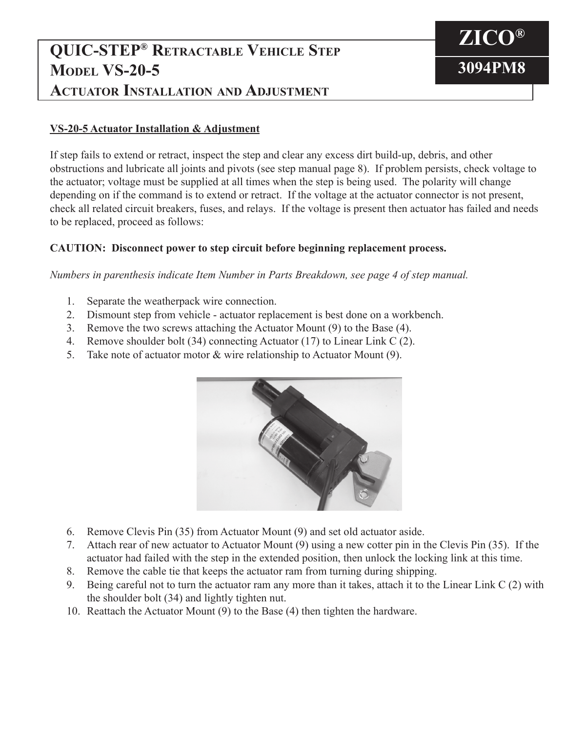## **QUIC-STEP® Retractable Vehicle Step MODEL VS-20-5 Actuator Installation and Adjustment**



## **VS-20-5 Actuator Installation & Adjustment**

If step fails to extend or retract, inspect the step and clear any excess dirt build-up, debris, and other obstructions and lubricate all joints and pivots (see step manual page 8). If problem persists, check voltage to the actuator; voltage must be supplied at all times when the step is being used. The polarity will change depending on if the command is to extend or retract. If the voltage at the actuator connector is not present, check all related circuit breakers, fuses, and relays. If the voltage is present then actuator has failed and needs to be replaced, proceed as follows:

## **CAUTION: Disconnect power to step circuit before beginning replacement process.**

*Numbers in parenthesis indicate Item Number in Parts Breakdown, see page 4 of step manual.*

- 1. Separate the weatherpack wire connection.
- 2. Dismount step from vehicle actuator replacement is best done on a workbench.
- 3. Remove the two screws attaching the Actuator Mount (9) to the Base (4).
- 4. Remove shoulder bolt (34) connecting Actuator (17) to Linear Link C (2).
- 5. Take note of actuator motor & wire relationship to Actuator Mount (9).



- 6. Remove Clevis Pin (35) from Actuator Mount (9) and set old actuator aside.
- 7. Attach rear of new actuator to Actuator Mount (9) using a new cotter pin in the Clevis Pin (35). If the actuator had failed with the step in the extended position, then unlock the locking link at this time.
- 8. Remove the cable tie that keeps the actuator ram from turning during shipping.
- 9. Being careful not to turn the actuator ram any more than it takes, attach it to the Linear Link C (2) with the shoulder bolt (34) and lightly tighten nut.
- 10. Reattach the Actuator Mount (9) to the Base (4) then tighten the hardware.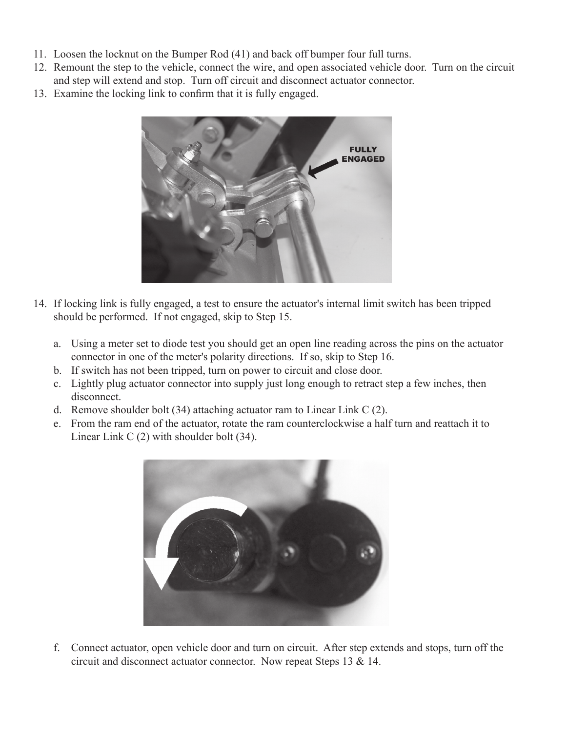- 11. Loosen the locknut on the Bumper Rod (41) and back off bumper four full turns.
- 12. Remount the step to the vehicle, connect the wire, and open associated vehicle door. Turn on the circuit and step will extend and stop. Turn off circuit and disconnect actuator connector.
- 13. Examine the locking link to confirm that it is fully engaged.



- 14. If locking link is fully engaged, a test to ensure the actuator's internal limit switch has been tripped should be performed. If not engaged, skip to Step 15.
	- a. Using a meter set to diode test you should get an open line reading across the pins on the actuator connector in one of the meter's polarity directions. If so, skip to Step 16.
	- b. If switch has not been tripped, turn on power to circuit and close door.
	- c. Lightly plug actuator connector into supply just long enough to retract step a few inches, then disconnect.
	- d. Remove shoulder bolt (34) attaching actuator ram to Linear Link C (2).
	- e. From the ram end of the actuator, rotate the ram counterclockwise a half turn and reattach it to Linear Link C (2) with shoulder bolt (34).



 f. Connect actuator, open vehicle door and turn on circuit. After step extends and stops, turn off the circuit and disconnect actuator connector. Now repeat Steps 13 & 14.